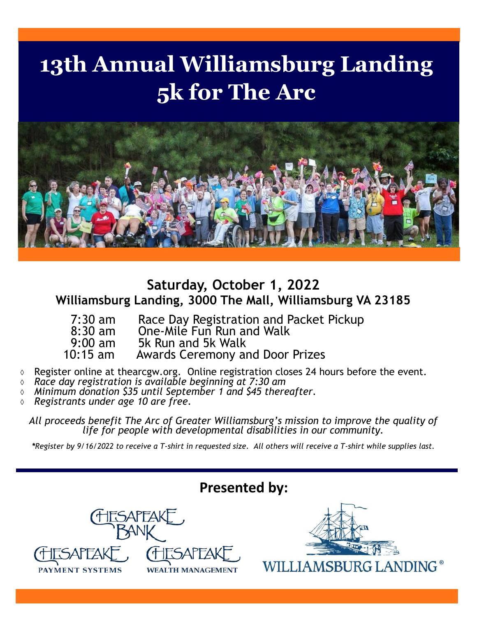## **13th Annual Williamsburg Landing 5k for The Arc**



## **Saturday, October 1, 2022 Williamsburg Landing, 3000 The Mall, Williamsburg VA 23185**

- 7:30 am Race Day Registration and Packet Pickup<br>8:30 am One-Mile Fun Run and Walk
- 8:30 am One-Mile Fun Run and Walk<br>9:00 am 5k Run and 5k Walk
- 9:00 am 5k Run and 5k Walk<br>10:15 am 4wards Ceremony a
	- Awards Ceremony and Door Prizes
- Register online at thearcgw.org. Online registration closes 24 hours before the event.
- *Race day registration is available beginning at 7:30 am*
- *Minimum donation \$35 until September 1 and \$45 thereafter.*
- *Registrants under age 10 are free.*

*All proceeds benefit The Arc of Greater Williamsburg's mission to improve the quality of life for people with developmental disabilities in our community.* 

*\*Register by 9/16/2022 to receive a T-shirt in requested size. All others will receive a T-shirt while supplies last.*

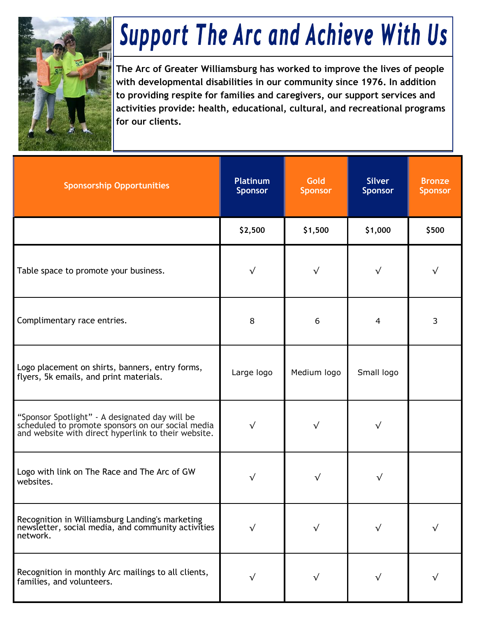

## **Support The Arc and Achieve With Us**

**The Arc of Greater Williamsburg has worked to improve the lives of people with developmental disabilities in our community since 1976. In addition to providing respite for families and caregivers, our support services and activities provide: health, educational, cultural, and recreational programs for our clients.** 

| <b>Sponsorship Opportunities</b>                                                                                                                           | <b>Platinum</b><br><b>Sponsor</b> | <b>Gold</b><br><b>Sponsor</b> | <b>Silver</b><br><b>Sponsor</b> | <b>Bronze</b><br><b>Sponsor</b> |
|------------------------------------------------------------------------------------------------------------------------------------------------------------|-----------------------------------|-------------------------------|---------------------------------|---------------------------------|
|                                                                                                                                                            | \$2,500                           | \$1,500                       | \$1,000                         | \$500                           |
| Table space to promote your business.                                                                                                                      | √                                 | $\sqrt{}$                     | $\checkmark$                    | √                               |
| Complimentary race entries.                                                                                                                                | 8                                 | 6                             | 4                               | 3                               |
| Logo placement on shirts, banners, entry forms,<br>flyers, 5k emails, and print materials.                                                                 | Large logo                        | Medium logo                   | Small logo                      |                                 |
| "Sponsor Spotlight" - A designated day will be<br>scheduled to promote sponsors on our social media<br>and website with direct hyperlink to their website. | √                                 | $\sqrt{}$                     | √                               |                                 |
| Logo with link on The Race and The Arc of GW<br>websites.                                                                                                  | √                                 | $\sqrt{}$                     |                                 |                                 |
| Recognition in Williamsburg Landing's marketing<br>newsletter, social media, and community activities<br>network.                                          |                                   | √                             |                                 |                                 |
| Recognition in monthly Arc mailings to all clients,<br>families, and volunteers.                                                                           |                                   |                               |                                 |                                 |